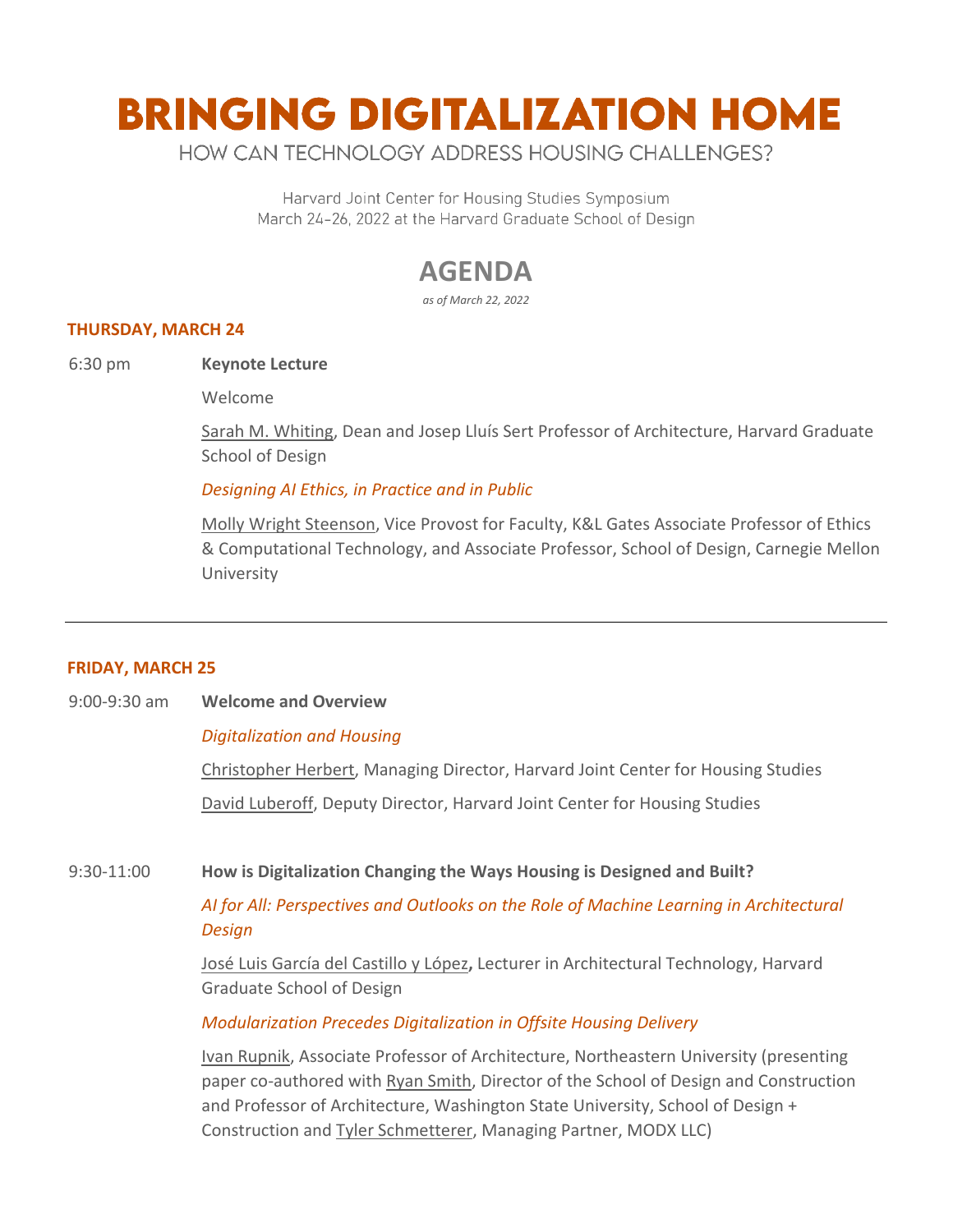# **BRINGING DIGITALIZATION HOME**

HOW CAN TECHNOLOGY ADDRESS HOUSING CHALLENGES?

Harvard Joint Center for Housing Studies Symposium March 24-26, 2022 at the Harvard Graduate School of Design

# **AGENDA**

*as of March 22, 2022*

#### **THURSDAY, MARCH 24**

6:30 pm **Keynote Lecture**

Welcome

[Sarah M. Whiting,](https://www.gsd.harvard.edu/person/sarah-m-whiting/) Dean and Josep Lluís Sert Professor of Architecture, Harvard Graduate School of Design

#### *Designing AI Ethics, in Practice and in Public*

[Molly Wright Steenson,](https://design.cmu.edu/people/faculty/molly-steenson) Vice Provost for Faculty, K&L Gates Associate Professor of Ethics & Computational Technology, and Associate Professor, School of Design, Carnegie Mellon University

#### **FRIDAY, MARCH 25**

9:00-9:30 am **Welcome and Overview** 

#### *Digitalization and Housing*

[Christopher Herbert,](https://www.jchs.harvard.edu/chris-herbert) Managing Director, Harvard Joint Center for Housing Studies

[David Luberoff,](https://www.jchs.harvard.edu/david-luberoff) Deputy Director, Harvard Joint Center for Housing Studies

# 9:30-11:00 **How is Digitalization Changing the Ways Housing is Designed and Built?**

# *AI for All: Perspectives and Outlooks on the Role of Machine Learning in Architectural Design*

[José Luis García del Castillo y López](https://www.gsd.harvard.edu/person/jose-luis-garcia-del-castillo-lopez/)**,** Lecturer in Architectural Technology, Harvard Graduate School of Design

#### *Modularization Precedes Digitalization in Offsite Housing Delivery*

[Ivan Rupnik,](https://camd.northeastern.edu/faculty/ivan-rupnik/) Associate Professor of Architecture, Northeastern University (presenting paper co-authored with [Ryan Smith,](https://sdc.wsu.edu/about-us/faculty-staff/profiles/?nid=r.e.smith) Director of the School of Design and Construction and Professor of Architecture, Washington State University, School of Design + Construction and [Tyler Schmetterer,](https://www.linkedin.com/in/tyler-schmetterer/) Managing Partner, MODX LLC)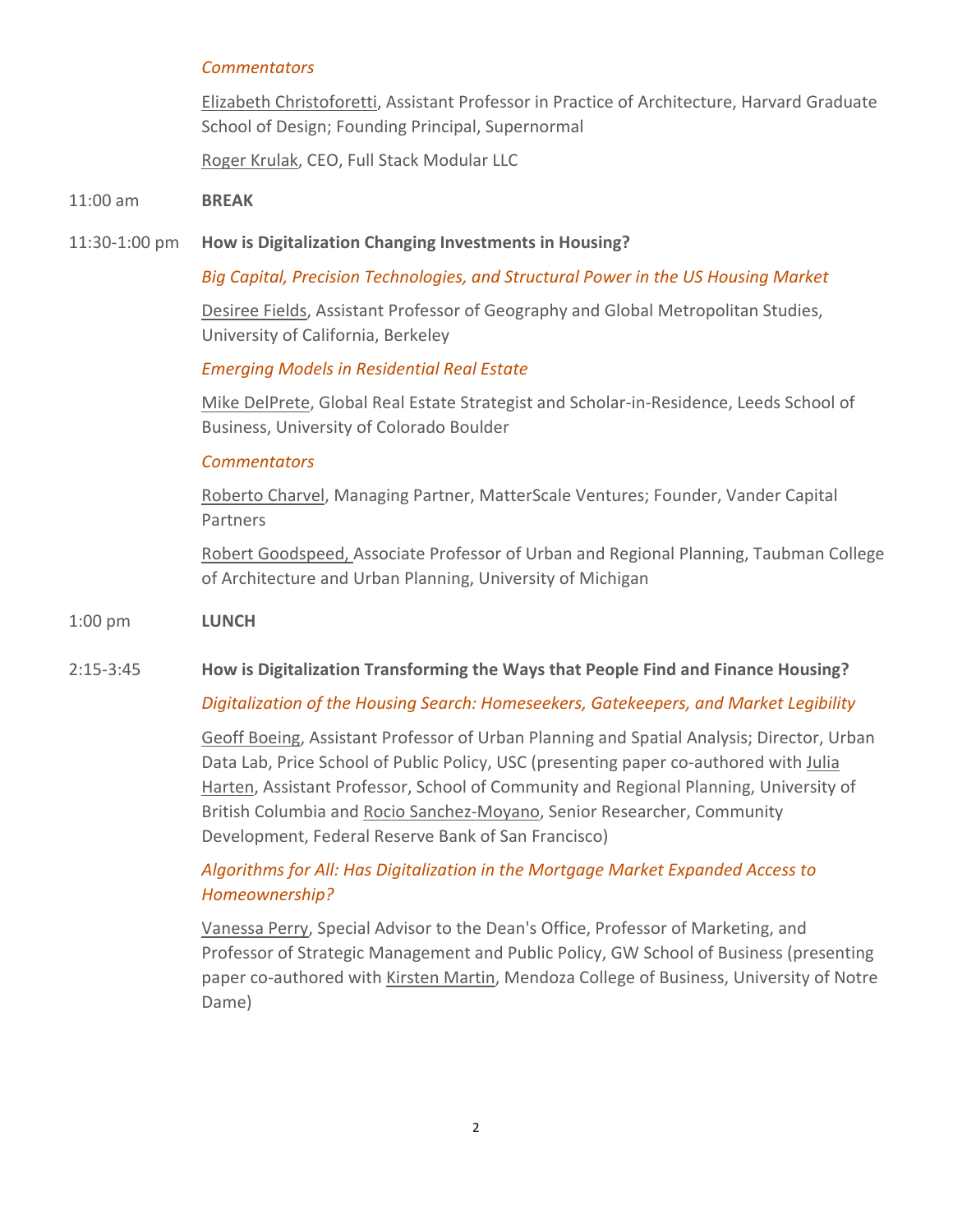#### *Commentators*

[Elizabeth Christoforetti,](https://www.gsd.harvard.edu/person/elizabeth-christoforetti/) Assistant Professor in Practice of Architecture, Harvard Graduate School of Design; Founding Principal, Supernormal

[Roger Krulak,](https://www.fullstackmodular.com/roger-krulak/) CEO, Full Stack Modular LLC

#### 11:00 am **BREAK**

#### 11:30-1:00 pm **How is Digitalization Changing Investments in Housing?**

*Big Capital, Precision Technologies, and Structural Power in the US Housing Market*

[Desiree Fields,](https://geography.berkeley.edu/desiree-fields) Assistant Professor of Geography and Global Metropolitan Studies, University of California, Berkeley

#### *Emerging Models in Residential Real Estate*

[Mike DelPrete,](https://www.mikedp.com/) Global Real Estate Strategist and Scholar-in-Residence, Leeds School of Business, University of Colorado Boulder

#### *Commentators*

[Roberto Charvel,](https://www.linkedin.com/in/robertocharvel/) Managing Partner, MatterScale Ventures; Founder, Vander Capital Partners

[Robert Goodspeed,](https://taubmancollege.umich.edu/faculty/directory/robert-goodspeed) Associate Professor of Urban and Regional Planning, Taubman College of Architecture and Urban Planning, University of Michigan

#### 1:00 pm **LUNCH**

#### 2:15-3:45 **How is Digitalization Transforming the Ways that People Find and Finance Housing?**

#### *Digitalization of the Housing Search: Homeseekers, Gatekeepers, and Market Legibility*

[Geoff Boeing,](https://priceschool.usc.edu/people/geoff-boeing/) Assistant Professor of Urban Planning and Spatial Analysis; Director, Urban Data Lab, Price School of Public Policy, USC (presenting paper co-authored with [Julia](https://scarp.ubc.ca/people/julia-harten)  [Harten,](https://scarp.ubc.ca/people/julia-harten) Assistant Professor, School of Community and Regional Planning, University of British Columbia and [Rocio Sanchez-Moyano,](https://www.frbsf.org/community-development/about/staff/rocio-sanchez-moyano/) Senior Researcher, Community Development, Federal Reserve Bank of San Francisco)

# *Algorithms for All: Has Digitalization in the Mortgage Market Expanded Access to Homeownership?*

[Vanessa Perry,](https://business.gwu.edu/vanessa-perry) Special Advisor to the Dean's Office, Professor of Marketing, and Professor of Strategic Management and Public Policy, GW School of Business (presenting paper co-authored with [Kirsten Martin,](https://kirstenmartin.net/) Mendoza College of Business, University of Notre Dame)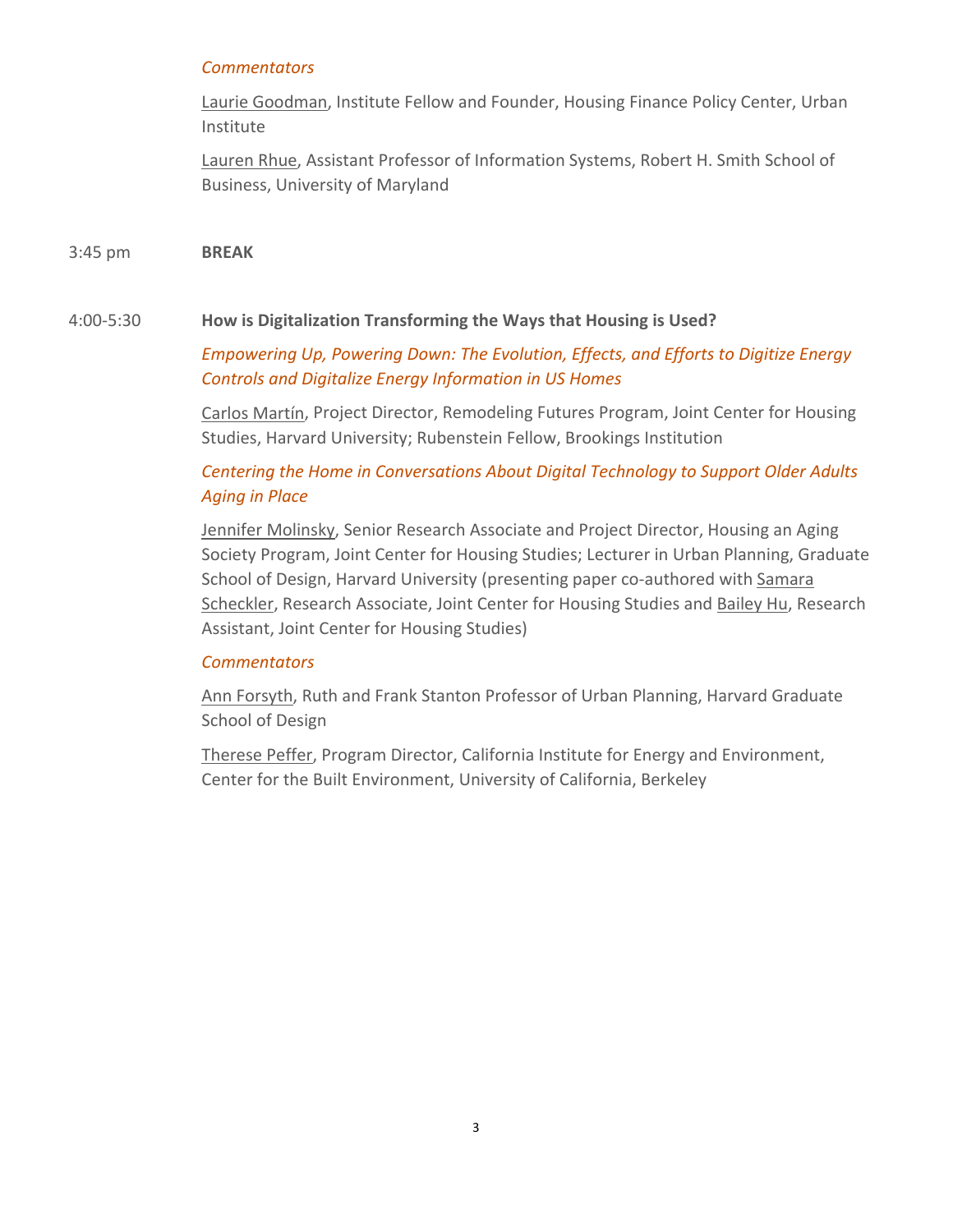# *Commentators*

[Laurie Goodman,](https://www.urban.org/author/laurie-goodman) Institute Fellow and Founder, Housing Finance Policy Center, Urban Institute

[Lauren Rhue,](https://www.laurenrhue.com/) Assistant Professor of Information Systems, Robert H. Smith School of Business, University of Maryland

3:45 pm **BREAK**

# 4:00-5:30 **How is Digitalization Transforming the Ways that Housing is Used?**

*Empowering Up, Powering Down: The Evolution, Effects, and Efforts to Digitize Energy Controls and Digitalize Energy Information in US Homes* 

[Carlos Martín,](https://www.jchs.harvard.edu/carlos-martin) Project Director, Remodeling Futures Program, Joint Center for Housing Studies, Harvard University; Rubenstein Fellow, Brookings Institution

# *Centering the Home in Conversations About Digital Technology to Support Older Adults Aging in Place*

[Jennifer Molinsky,](https://www.jchs.harvard.edu/staff/jennifer-molinsky) Senior Research Associate and Project Director, Housing an Aging Society Program, Joint Center for Housing Studies; Lecturer in Urban Planning, Graduate School of Design, Harvard University (presenting paper co-authored with Samara [Scheckler,](https://www.jchs.harvard.edu/staff/samara-scheckler) Research Associate, Joint Center for Housing Studies and [Bailey Hu,](https://www.jchs.harvard.edu/bailey-hu) Research Assistant, Joint Center for Housing Studies)

# *Commentators*

[Ann Forsyth,](https://www.gsd.harvard.edu/person/ann-forsyth/) Ruth and Frank Stanton Professor of Urban Planning, Harvard Graduate School of Design

[Therese Peffer,](https://cbe.berkeley.edu/about-us/people/therese-peffer/) Program Director, California Institute for Energy and Environment, Center for the Built Environment, University of California, Berkeley